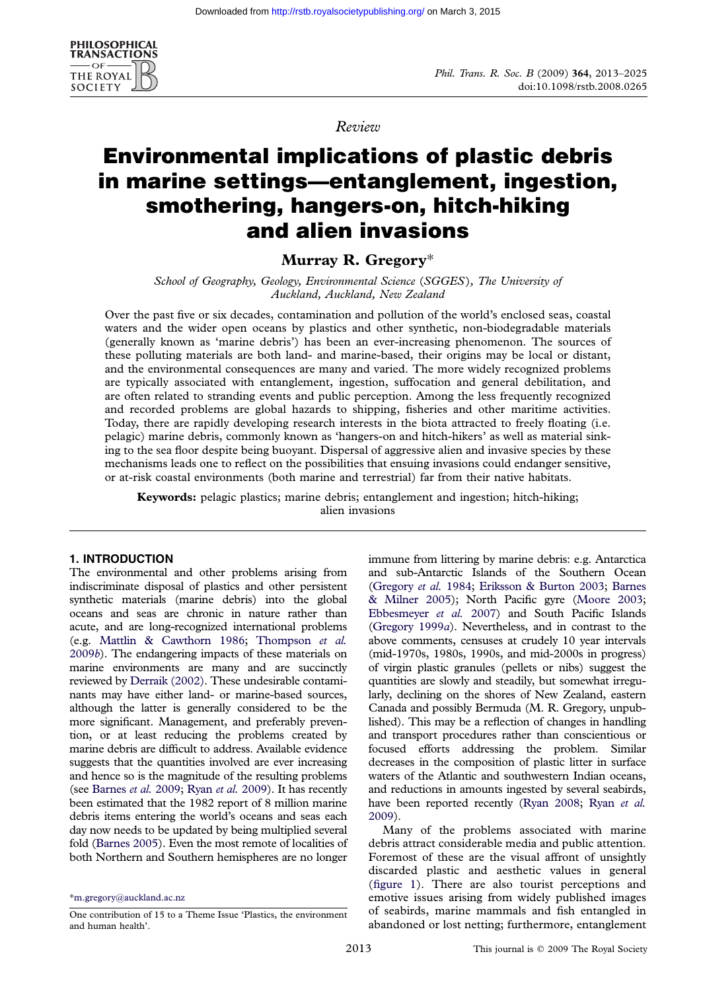

Review

# Environmental implications of plastic debris in marine settings—entanglement, ingestion, smothering, hangers-on, hitch-hiking and alien invasions

# Murray R. Gregory\*

School of Geography, Geology, Environmental Science (SGGES), The University of Auckland, Auckland, New Zealand

Over the past five or six decades, contamination and pollution of the world's enclosed seas, coastal waters and the wider open oceans by plastics and other synthetic, non-biodegradable materials (generally known as 'marine debris') has been an ever-increasing phenomenon. The sources of these polluting materials are both land- and marine-based, their origins may be local or distant, and the environmental consequences are many and varied. The more widely recognized problems are typically associated with entanglement, ingestion, suffocation and general debilitation, and are often related to stranding events and public perception. Among the less frequently recognized and recorded problems are global hazards to shipping, fisheries and other maritime activities. Today, there are rapidly developing research interests in the biota attracted to freely floating (i.e. pelagic) marine debris, commonly known as 'hangers-on and hitch-hikers' as well as material sinking to the sea floor despite being buoyant. Dispersal of aggressive alien and invasive species by these mechanisms leads one to reflect on the possibilities that ensuing invasions could endanger sensitive, or at-risk coastal environments (both marine and terrestrial) far from their native habitats.

Keywords: pelagic plastics; marine debris; entanglement and ingestion; hitch-hiking; alien invasions

#### 1. INTRODUCTION

The environmental and other problems arising from indiscriminate disposal of plastics and other persistent synthetic materials (marine debris) into the global oceans and seas are chronic in nature rather than acute, and are long-recognized international problems (e.g. [Mattlin & Cawthorn 1986;](#page-11-0) [Thompson](#page-11-0) et al. [2009](#page-11-0)b). The endangering impacts of these materials on marine environments are many and are succinctly reviewed by [Derraik \(2002\).](#page-10-0) These undesirable contaminants may have either land- or marine-based sources, although the latter is generally considered to be the more significant. Management, and preferably prevention, or at least reducing the problems created by marine debris are difficult to address. Available evidence suggests that the quantities involved are ever increasing and hence so is the magnitude of the resulting problems (see [Barnes](#page-9-0) et al. 2009; [Ryan](#page-11-0) et al. 2009). It has recently been estimated that the 1982 report of 8 million marine debris items entering the world's oceans and seas each day now needs to be updated by being multiplied several fold [\(Barnes 2005](#page-9-0)). Even the most remote of localities of both Northern and Southern hemispheres are no longer

immune from littering by marine debris: e.g. Antarctica and sub-Antarctic Islands of the Southern Ocean ([Gregory](#page-10-0) et al. 1984; [Eriksson & Burton 2003](#page-10-0); [Barnes](#page-9-0) [& Milner 2005](#page-9-0)); North Pacific gyre [\(Moore 2003](#page-11-0); [Ebbesmeyer](#page-10-0) et al. 2007) and South Pacific Islands ([Gregory 1999](#page-10-0)a). Nevertheless, and in contrast to the above comments, censuses at crudely 10 year intervals (mid-1970s, 1980s, 1990s, and mid-2000s in progress) of virgin plastic granules (pellets or nibs) suggest the quantities are slowly and steadily, but somewhat irregularly, declining on the shores of New Zealand, eastern Canada and possibly Bermuda (M. R. Gregory, unpublished). This may be a reflection of changes in handling and transport procedures rather than conscientious or focused efforts addressing the problem. Similar decreases in the composition of plastic litter in surface waters of the Atlantic and southwestern Indian oceans, and reductions in amounts ingested by several seabirds, have been reported recently [\(Ryan 2008](#page-11-0); [Ryan](#page-11-0) et al. [2009](#page-11-0)).

Many of the problems associated with marine debris attract considerable media and public attention. Foremost of these are the visual affront of unsightly discarded plastic and aesthetic values in general ([figure 1\)](#page-1-0). There are also tourist perceptions and emotive issues arising from widely published images of seabirds, marine mammals and fish entangled in abandoned or lost netting; furthermore, entanglement

<sup>\*</sup>[m.gregory@auckland.ac.nz](mailto:m.gregory@auckland.ac.nz)

One contribution of 15 to a Theme Issue 'Plastics, the environment and human health'.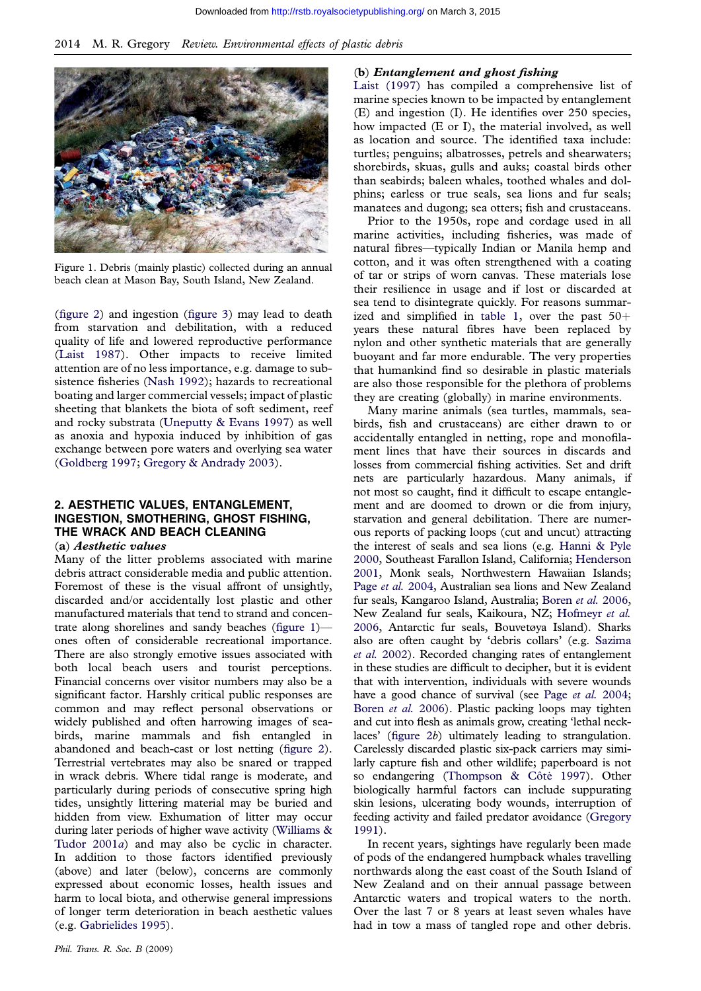<span id="page-1-0"></span>

Figure 1. Debris (mainly plastic) collected during an annual beach clean at Mason Bay, South Island, New Zealand.

[\(figure 2\)](#page-2-0) and ingestion ([figure 3](#page-2-0)) may lead to death from starvation and debilitation, with a reduced quality of life and lowered reproductive performance [\(Laist 1987\)](#page-10-0). Other impacts to receive limited attention are of no less importance, e.g. damage to subsistence fisheries [\(Nash 1992](#page-11-0)); hazards to recreational boating and larger commercial vessels; impact of plastic sheeting that blankets the biota of soft sediment, reef and rocky substrata ([Uneputty & Evans 1997\)](#page-11-0) as well as anoxia and hypoxia induced by inhibition of gas exchange between pore waters and overlying sea water [\(Goldberg 1997](#page-10-0); [Gregory & Andrady 2003](#page-10-0)).

## 2. AESTHETIC VALUES, ENTANGLEMENT, INGESTION, SMOTHERING, GHOST FISHING, THE WRACK AND BEACH CLEANING

## (a) Aesthetic values

Many of the litter problems associated with marine debris attract considerable media and public attention. Foremost of these is the visual affront of unsightly, discarded and/or accidentally lost plastic and other manufactured materials that tend to strand and concentrate along shorelines and sandy beaches (figure 1) ones often of considerable recreational importance. There are also strongly emotive issues associated with both local beach users and tourist perceptions. Financial concerns over visitor numbers may also be a significant factor. Harshly critical public responses are common and may reflect personal observations or widely published and often harrowing images of seabirds, marine mammals and fish entangled in abandoned and beach-cast or lost netting ([figure 2\)](#page-2-0). Terrestrial vertebrates may also be snared or trapped in wrack debris. Where tidal range is moderate, and particularly during periods of consecutive spring high tides, unsightly littering material may be buried and hidden from view. Exhumation of litter may occur during later periods of higher wave activity ([Williams &](#page-12-0) [Tudor 2001](#page-12-0)a) and may also be cyclic in character. In addition to those factors identified previously (above) and later (below), concerns are commonly expressed about economic losses, health issues and harm to local biota, and otherwise general impressions of longer term deterioration in beach aesthetic values (e.g. [Gabrielides 1995\)](#page-10-0).

## (b) Entanglement and ghost fishing

[Laist \(1997\)](#page-11-0) has compiled a comprehensive list of marine species known to be impacted by entanglement (E) and ingestion (I). He identifies over 250 species, how impacted (E or I), the material involved, as well as location and source. The identified taxa include: turtles; penguins; albatrosses, petrels and shearwaters; shorebirds, skuas, gulls and auks; coastal birds other than seabirds; baleen whales, toothed whales and dolphins; earless or true seals, sea lions and fur seals; manatees and dugong; sea otters; fish and crustaceans.

Prior to the 1950s, rope and cordage used in all marine activities, including fisheries, was made of natural fibres—typically Indian or Manila hemp and cotton, and it was often strengthened with a coating of tar or strips of worn canvas. These materials lose their resilience in usage and if lost or discarded at sea tend to disintegrate quickly. For reasons summarized and simplified in [table 1,](#page-2-0) over the past  $50+$ years these natural fibres have been replaced by nylon and other synthetic materials that are generally buoyant and far more endurable. The very properties that humankind find so desirable in plastic materials are also those responsible for the plethora of problems they are creating (globally) in marine environments.

Many marine animals (sea turtles, mammals, seabirds, fish and crustaceans) are either drawn to or accidentally entangled in netting, rope and monofilament lines that have their sources in discards and losses from commercial fishing activities. Set and drift nets are particularly hazardous. Many animals, if not most so caught, find it difficult to escape entanglement and are doomed to drown or die from injury, starvation and general debilitation. There are numerous reports of packing loops (cut and uncut) attracting the interest of seals and sea lions (e.g. [Hanni & Pyle](#page-10-0) [2000,](#page-10-0) Southeast Farallon Island, California; [Henderson](#page-10-0) [2001,](#page-10-0) Monk seals, Northwestern Hawaiian Islands; Page et al. [2004](#page-11-0), Australian sea lions and New Zealand fur seals, Kangaroo Island, Australia; [Boren](#page-9-0) et al. 2006, New Zealand fur seals, Kaikoura, NZ; [Hofmeyr](#page-10-0) et al. [2006,](#page-10-0) Antarctic fur seals, Bouvetøya Island). Sharks also are often caught by 'debris collars' (e.g. [Sazima](#page-11-0) et al. [2002](#page-11-0)). Recorded changing rates of entanglement in these studies are difficult to decipher, but it is evident that with intervention, individuals with severe wounds have a good chance of survival (see Page [et al.](#page-11-0) 2004; [Boren](#page-9-0) et al. 2006). Plastic packing loops may tighten and cut into flesh as animals grow, creating 'lethal necklaces' [\(figure 2](#page-2-0)b) ultimately leading to strangulation. Carelessly discarded plastic six-pack carriers may similarly capture fish and other wildlife; paperboard is not so endangering (Thompson  $\&$  Côte<sup>i</sup> 1997). Other biologically harmful factors can include suppurating skin lesions, ulcerating body wounds, interruption of feeding activity and failed predator avoidance [\(Gregory](#page-10-0) [1991\)](#page-10-0).

In recent years, sightings have regularly been made of pods of the endangered humpback whales travelling northwards along the east coast of the South Island of New Zealand and on their annual passage between Antarctic waters and tropical waters to the north. Over the last 7 or 8 years at least seven whales have had in tow a mass of tangled rope and other debris.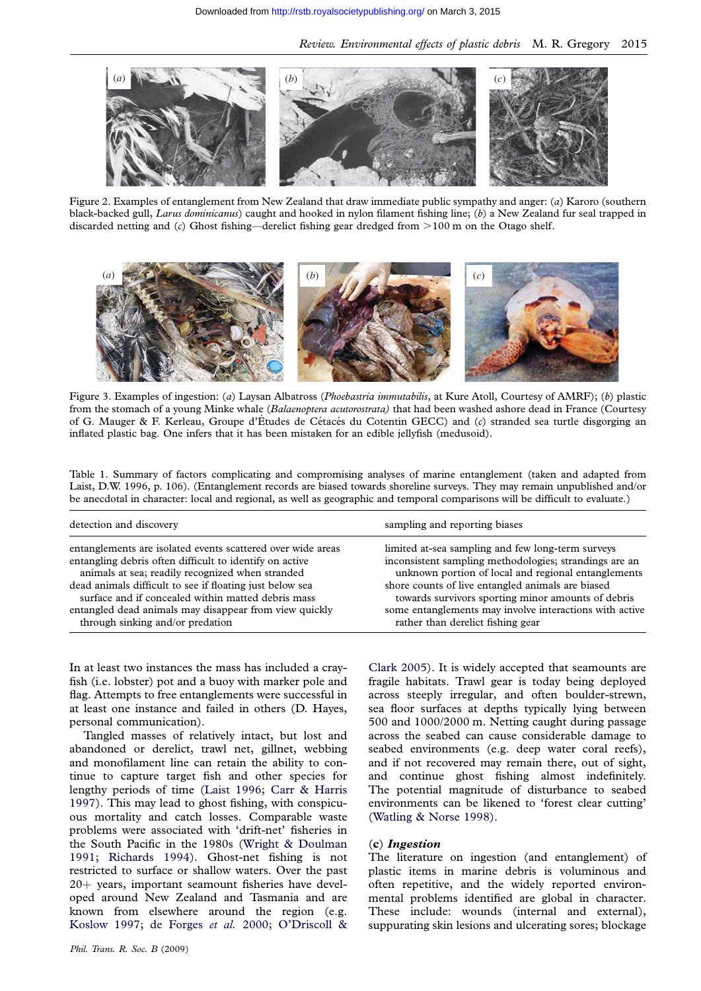<span id="page-2-0"></span>

Figure 2. Examples of entanglement from New Zealand that draw immediate public sympathy and anger: (a) Karoro (southern black-backed gull, Larus dominicanus) caught and hooked in nylon filament fishing line; (b) a New Zealand fur seal trapped in discarded netting and  $(c)$  Ghost fishing—derelict fishing gear dredged from  $>100$  m on the Otago shelf.



Figure 3. Examples of ingestion: (a) Laysan Albatross (*Phoebastria immutabilis*, at Kure Atoll, Courtesy of AMRF); (b) plastic from the stomach of a young Minke whale (Balaenoptera acutorostrata) that had been washed ashore dead in France (Courtesy of G. Mauger & F. Kerleau, Groupe d'Études de Cétacés du Cotentin GECC) and (c) stranded sea turtle disgorging an inflated plastic bag. One infers that it has been mistaken for an edible jellyfish (medusoid).

Table 1. Summary of factors complicating and compromising analyses of marine entanglement (taken and adapted from Laist, D.W. 1996, p. 106). (Entanglement records are biased towards shoreline surveys. They may remain unpublished and/or be anecdotal in character: local and regional, as well as geographic and temporal comparisons will be difficult to evaluate.)

| detection and discovery                                     | sampling and reporting biases                           |
|-------------------------------------------------------------|---------------------------------------------------------|
| entanglements are isolated events scattered over wide areas | limited at-sea sampling and few long-term surveys       |
| entangling debris often difficult to identify on active     | inconsistent sampling methodologies; strandings are an  |
| animals at sea; readily recognized when stranded            | unknown portion of local and regional entanglements     |
| dead animals difficult to see if floating just below sea    | shore counts of live entangled animals are biased       |
| surface and if concealed within matted debris mass          | towards survivors sporting minor amounts of debris      |
| entangled dead animals may disappear from view quickly      | some entanglements may involve interactions with active |
| through sinking and/or predation                            | rather than derelict fishing gear                       |

In at least two instances the mass has included a crayfish (i.e. lobster) pot and a buoy with marker pole and flag. Attempts to free entanglements were successful in at least one instance and failed in others (D. Hayes, personal communication).

Tangled masses of relatively intact, but lost and abandoned or derelict, trawl net, gillnet, webbing and monofilament line can retain the ability to continue to capture target fish and other species for lengthy periods of time ([Laist 1996](#page-10-0); [Carr & Harris](#page-9-0) [1997](#page-9-0)). This may lead to ghost fishing, with conspicuous mortality and catch losses. Comparable waste problems were associated with 'drift-net' fisheries in the South Pacific in the 1980s [\(Wright & Doulman](#page-12-0) [1991](#page-12-0); [Richards 1994](#page-11-0)). Ghost-net fishing is not restricted to surface or shallow waters. Over the past  $20+$  years, important seamount fisheries have developed around New Zealand and Tasmania and are known from elsewhere around the region (e.g. [Koslow 1997](#page-10-0); [de Forges](#page-10-0) et al. 2000; [O'Driscoll &](#page-11-0) [Clark 2005\)](#page-11-0). It is widely accepted that seamounts are fragile habitats. Trawl gear is today being deployed across steeply irregular, and often boulder-strewn, sea floor surfaces at depths typically lying between 500 and 1000/2000 m. Netting caught during passage across the seabed can cause considerable damage to seabed environments (e.g. deep water coral reefs), and if not recovered may remain there, out of sight, and continue ghost fishing almost indefinitely. The potential magnitude of disturbance to seabed environments can be likened to 'forest clear cutting' ([Watling & Norse 1998](#page-11-0)).

#### (c) Ingestion

The literature on ingestion (and entanglement) of plastic items in marine debris is voluminous and often repetitive, and the widely reported environmental problems identified are global in character. These include: wounds (internal and external), suppurating skin lesions and ulcerating sores; blockage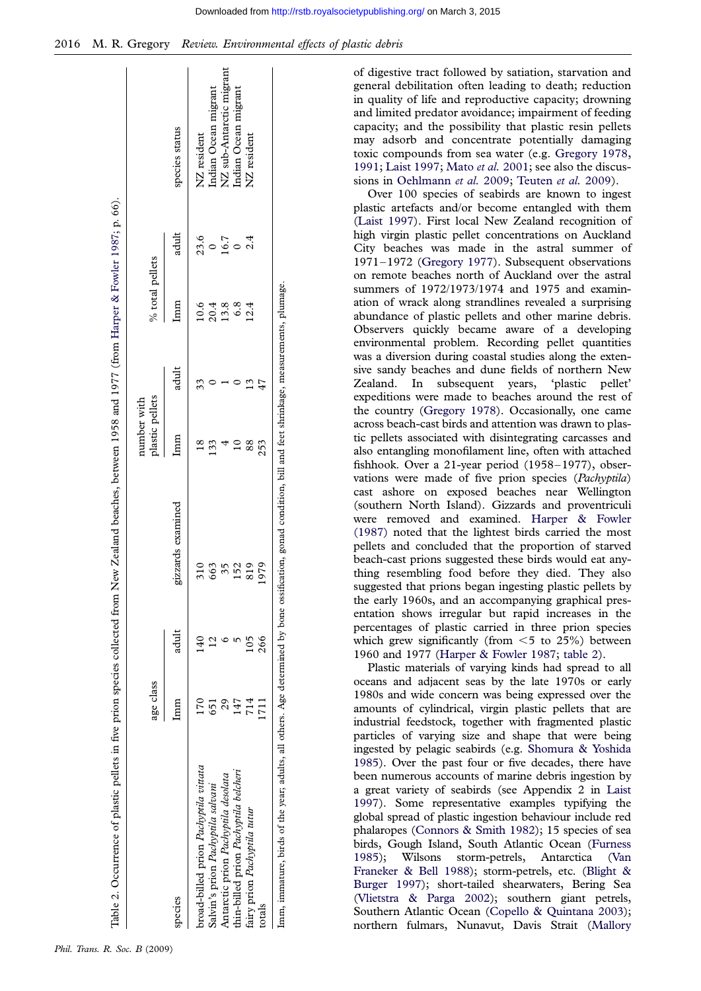|                                       | age class      |                |                   | plastic pellets<br>number with |              | % total pellets |       |                          |
|---------------------------------------|----------------|----------------|-------------------|--------------------------------|--------------|-----------------|-------|--------------------------|
| species                               | Imm            | adult          | gizzards examined | Imm                            | adult        | Imm             | adult | species status           |
| broad-billed prion Pachyptila vittata |                | $\frac{1}{4}$  | 310               | $\propto$                      | 33           | 10.6            | 23.6  | NZ resident              |
| Salvin's prion Pachyptila salvani     | 651            |                | 663               | 133                            |              | 20.4            |       | Indian Ocean migrant     |
| Antarctic prion Pachyptila desolata   | $\overline{6}$ |                |                   |                                |              | 13.8            | 16.7  | NZ sub-Antarctic migrant |
| hin-billed prion Pachyptila belcheri  | 147            |                | 152               |                                |              | 6.8             |       | Indian Ocean migrant     |
| fairy prion Pachyptila tutur          | 714<br>7       | $\frac{50}{2}$ | 819               | 88                             | $\mathbf{r}$ | 12.4            |       | NZ resident              |
| totals                                |                | 266            | 1979              | 253                            |              |                 |       |                          |

2016 M. R. Gregory Review. Environmental effects of plastic debris

of digestive tract followed by satiation, starvation and general debilitation often leading to death; reduction in quality of life and reproductive capacity; drowning and limited predator avoidance; impairment of feeding capacity; and the possibility that plastic resin pellets may adsorb and concentrate potentially damaging toxic compounds from sea water (e.g. [Gregory 1978](#page-10-0), [1991](#page-10-0); [Laist 1997;](#page-11-0) [Mato](#page-11-0) et al. 2001; see also the discus-sions in [Oehlmann](#page-11-0) et al. 2009; [Teuten](#page-11-0) et al. 2009).

Over 100 species of seabirds are known to ingest plastic artefacts and/or become entangled with them [\(Laist 1997](#page-11-0)). First local New Zealand recognition of high virgin plastic pellet concentrations on Auckland City beaches was made in the astral summer of 1971–1972 [\(Gregory 1977\)](#page-10-0). Subsequent observations on remote beaches north of Auckland over the astral summers of 1972/1973/1974 and 1975 and examination of wrack along strandlines revealed a surprising abundance of plastic pellets and other marine debris. Observers quickly became aware of a developing environmental problem. Recording pellet quantities was a diversion during coastal studies along the extensive sandy beaches and dune fields of northern New Zealand. In subsequent years, 'plastic pellet' expeditions were made to beaches around the rest of the country ([Gregory 1978](#page-10-0)). Occasionally, one came across beach-cast birds and attention was drawn to plastic pellets associated with disintegrating carcasses and also entangling monofilament line, often with attached fishhook. Over a 21-year period (1958–1977), observations were made of five prion species (Pachyptila) cast ashore on exposed beaches near Wellington (southern North Island). Gizzards and proventriculi were removed and examined. [Harper & Fowler](#page-10-0) [\(1987\)](#page-10-0) noted that the lightest birds carried the most pellets and concluded that the proportion of starved beach-cast prions suggested these birds would eat anything resembling food before they died. They also suggested that prions began ingesting plastic pellets by the early 1960s, and an accompanying graphical presentation shows irregular but rapid increases in the percentages of plastic carried in three prion species which grew significantly (from  $\leq$  5 to 25%) between 1960 and 1977 [\(Harper & Fowler 1987;](#page-10-0) table 2).

Plastic materials of varying kinds had spread to all oceans and adjacent seas by the late 1970s or early 1980s and wide concern was being expressed over the amounts of cylindrical, virgin plastic pellets that are industrial feedstock, together with fragmented plastic particles of varying size and shape that were being ingested by pelagic seabirds (e.g. [Shomura & Yoshida](#page-11-0) [1985\)](#page-11-0). Over the past four or five decades, there have been numerous accounts of marine debris ingestion by a great variety of seabirds (see Appendix 2 in [Laist](#page-11-0) [1997\)](#page-11-0). Some representative examples typifying the global spread of plastic ingestion behaviour include red phalaropes [\(Connors & Smith 1982](#page-9-0)); 15 species of sea birds, Gough Island, South Atlantic Ocean ([Furness](#page-10-0) [1985\)](#page-10-0); Wilsons storm-petrels, Antarctica [\(Van](#page-11-0) [Franeker & Bell 1988\)](#page-11-0); storm-petrels, etc. [\(Blight &](#page-9-0) [Burger 1997\)](#page-9-0); short-tailed shearwaters, Bering Sea [\(Vlietstra & Parga 2002](#page-11-0)); southern giant petrels, Southern Atlantic Ocean [\(Copello & Quintana 2003\)](#page-9-0); northern fulmars, Nunavut, Davis Strait ([Mallory](#page-11-0)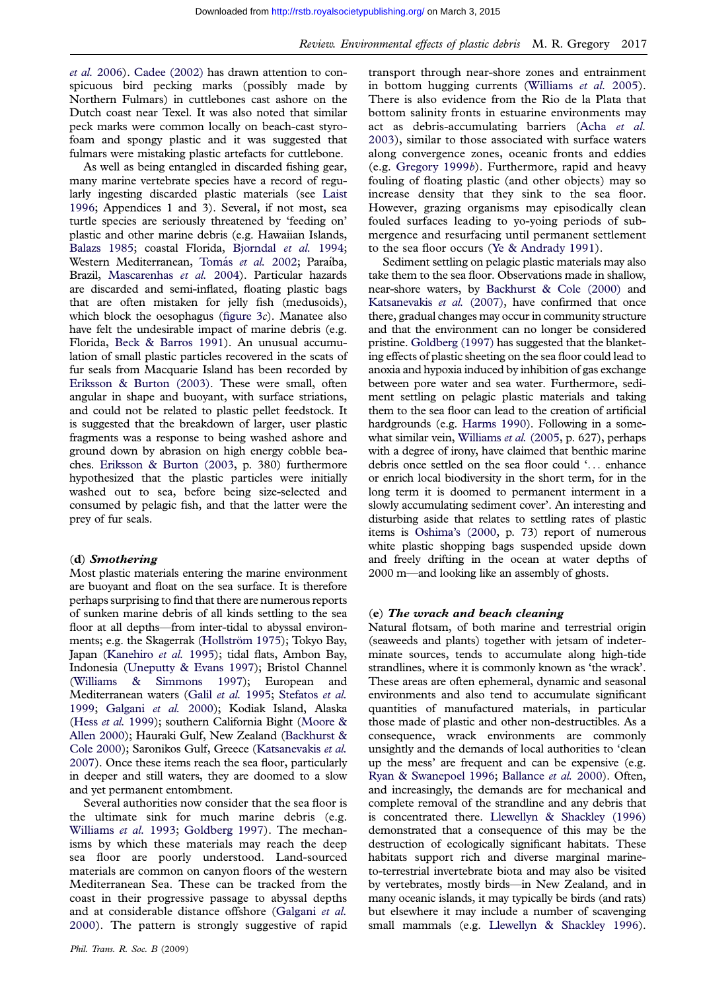et al. [2006\)](#page-11-0). [Cadee \(2002\)](#page-9-0) has drawn attention to conspicuous bird pecking marks (possibly made by Northern Fulmars) in cuttlebones cast ashore on the Dutch coast near Texel. It was also noted that similar peck marks were common locally on beach-cast styrofoam and spongy plastic and it was suggested that fulmars were mistaking plastic artefacts for cuttlebone.

As well as being entangled in discarded fishing gear, many marine vertebrate species have a record of regularly ingesting discarded plastic materials (see [Laist](#page-10-0) [1996;](#page-10-0) Appendices 1 and 3). Several, if not most, sea turtle species are seriously threatened by 'feeding on' plastic and other marine debris (e.g. Hawaiian Islands, [Balazs 1985;](#page-9-0) coastal Florida, [Bjorndal](#page-9-0) et al. 1994; Western Mediterranean, Tomás et al. 2002; Paraíba, Brazil, [Mascarenhas](#page-11-0) et al. 2004). Particular hazards are discarded and semi-inflated, floating plastic bags that are often mistaken for jelly fish (medusoids), which block the oesophagus (figure  $3c$ ). Manatee also have felt the undesirable impact of marine debris (e.g. Florida, [Beck & Barros 1991](#page-9-0)). An unusual accumulation of small plastic particles recovered in the scats of fur seals from Macquarie Island has been recorded by [Eriksson & Burton \(2003\)](#page-10-0). These were small, often angular in shape and buoyant, with surface striations, and could not be related to plastic pellet feedstock. It is suggested that the breakdown of larger, user plastic fragments was a response to being washed ashore and ground down by abrasion on high energy cobble beaches. [Eriksson & Burton \(2003,](#page-10-0) p. 380) furthermore hypothesized that the plastic particles were initially washed out to sea, before being size-selected and consumed by pelagic fish, and that the latter were the prey of fur seals.

## (d) Smothering

Most plastic materials entering the marine environment are buoyant and float on the sea surface. It is therefore perhaps surprising to find that there are numerous reports of sunken marine debris of all kinds settling to the sea floor at all depths—from inter-tidal to abyssal environments; e.g. the Skagerrak (Hollström 1975); Tokyo Bay, Japan ([Kanehiro](#page-10-0) et al. 1995); tidal flats, Ambon Bay, Indonesia [\(Uneputty & Evans 1997\)](#page-11-0); Bristol Channel ([Williams & Simmons 1997](#page-12-0)); European and Mediterranean waters (Galil et al. [1995](#page-10-0); [Stefatos](#page-11-0) et al. [1999](#page-11-0); [Galgani](#page-10-0) et al. 2000); Kodiak Island, Alaska (Hess et al. [1999\)](#page-10-0); southern California Bight ([Moore &](#page-11-0) [Allen 2000\)](#page-11-0); Hauraki Gulf, New Zealand [\(Backhurst &](#page-9-0) [Cole 2000](#page-9-0)); Saronikos Gulf, Greece [\(Katsanevakis](#page-10-0) et al. [2007](#page-10-0)). Once these items reach the sea floor, particularly in deeper and still waters, they are doomed to a slow and yet permanent entombment.

Several authorities now consider that the sea floor is the ultimate sink for much marine debris (e.g. [Williams](#page-12-0) et al. 1993; [Goldberg 1997](#page-10-0)). The mechanisms by which these materials may reach the deep sea floor are poorly understood. Land-sourced materials are common on canyon floors of the western Mediterranean Sea. These can be tracked from the coast in their progressive passage to abyssal depths and at considerable distance offshore [\(Galgani](#page-10-0) et al. [2000](#page-10-0)). The pattern is strongly suggestive of rapid transport through near-shore zones and entrainment in bottom hugging currents ([Williams](#page-12-0) et al. 2005). There is also evidence from the Rio de la Plata that bottom salinity fronts in estuarine environments may act as debris-accumulating barriers (Acha [et al.](#page-9-0) [2003](#page-9-0)), similar to those associated with surface waters along convergence zones, oceanic fronts and eddies (e.g. [Gregory 1999](#page-10-0)b). Furthermore, rapid and heavy fouling of floating plastic (and other objects) may so increase density that they sink to the sea floor. However, grazing organisms may episodically clean fouled surfaces leading to yo-yoing periods of submergence and resurfacing until permanent settlement to the sea floor occurs ([Ye & Andrady 1991\)](#page-12-0).

Sediment settling on pelagic plastic materials may also take them to the sea floor. Observations made in shallow, near-shore waters, by [Backhurst & Cole \(2000\)](#page-9-0) and [Katsanevakis](#page-10-0) et al. (2007), have confirmed that once there, gradual changes may occur in community structure and that the environment can no longer be considered pristine. [Goldberg \(1997\)](#page-10-0) has suggested that the blanketing effects of plastic sheeting on the sea floor could lead to anoxia and hypoxia induced by inhibition of gas exchange between pore water and sea water. Furthermore, sediment settling on pelagic plastic materials and taking them to the sea floor can lead to the creation of artificial hardgrounds (e.g. [Harms 1990\)](#page-10-0). Following in a some-what similar vein, [Williams](#page-12-0) et al. (2005, p. 627), perhaps with a degree of irony, have claimed that benthic marine debris once settled on the sea floor could '... enhance or enrich local biodiversity in the short term, for in the long term it is doomed to permanent interment in a slowly accumulating sediment cover'. An interesting and disturbing aside that relates to settling rates of plastic items is [Oshima's \(2000,](#page-11-0) p. 73) report of numerous white plastic shopping bags suspended upside down and freely drifting in the ocean at water depths of 2000 m—and looking like an assembly of ghosts.

## (e) The wrack and beach cleaning

Natural flotsam, of both marine and terrestrial origin (seaweeds and plants) together with jetsam of indeterminate sources, tends to accumulate along high-tide strandlines, where it is commonly known as 'the wrack'. These areas are often ephemeral, dynamic and seasonal environments and also tend to accumulate significant quantities of manufactured materials, in particular those made of plastic and other non-destructibles. As a consequence, wrack environments are commonly unsightly and the demands of local authorities to 'clean up the mess' are frequent and can be expensive (e.g. [Ryan & Swanepoel 1996](#page-11-0); [Ballance](#page-9-0) et al. 2000). Often, and increasingly, the demands are for mechanical and complete removal of the strandline and any debris that is concentrated there. [Llewellyn & Shackley \(1996\)](#page-11-0) demonstrated that a consequence of this may be the destruction of ecologically significant habitats. These habitats support rich and diverse marginal marineto-terrestrial invertebrate biota and may also be visited by vertebrates, mostly birds—in New Zealand, and in many oceanic islands, it may typically be birds (and rats) but elsewhere it may include a number of scavenging small mammals (e.g. [Llewellyn & Shackley 1996](#page-11-0)).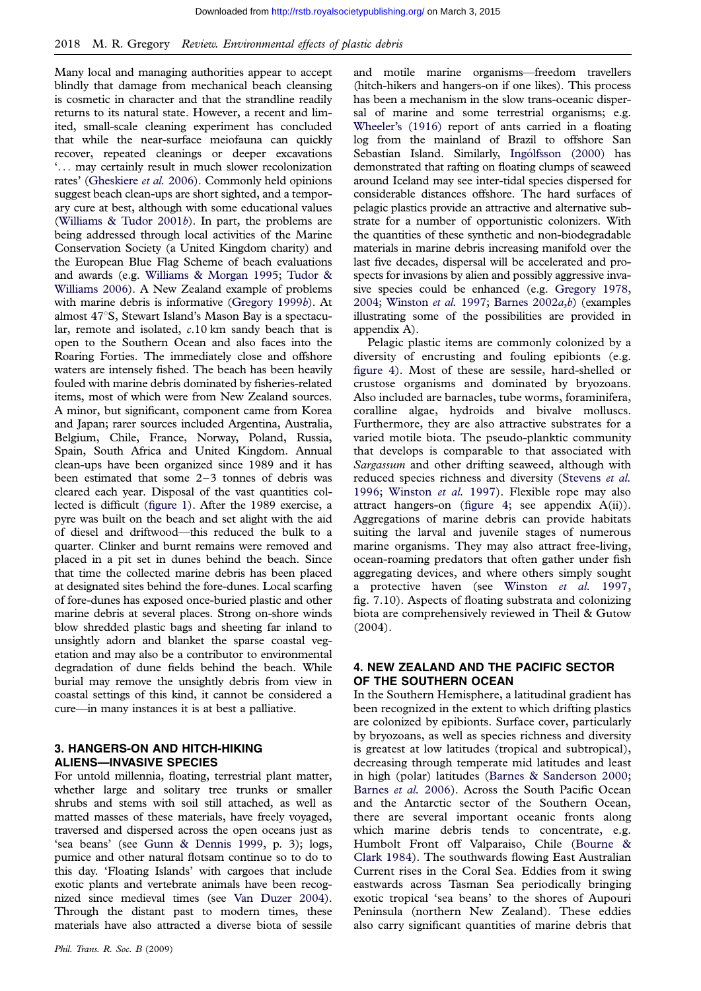Many local and managing authorities appear to accept blindly that damage from mechanical beach cleansing is cosmetic in character and that the strandline readily returns to its natural state. However, a recent and limited, small-scale cleaning experiment has concluded that while the near-surface meiofauna can quickly recover, repeated cleanings or deeper excavations '... may certainly result in much slower recolonization rates' [\(Gheskiere](#page-10-0) et al. 2006). Commonly held opinions suggest beach clean-ups are short sighted, and a temporary cure at best, although with some educational values (Williams  $& \text{Tudor } 2001b$ ). In part, the problems are being addressed through local activities of the Marine Conservation Society (a United Kingdom charity) and the European Blue Flag Scheme of beach evaluations and awards (e.g. [Williams & Morgan 1995;](#page-12-0) [Tudor &](#page-11-0) [Williams 2006\)](#page-11-0). A New Zealand example of problems with marine debris is informative ([Gregory 1999](#page-10-0)b). At almost  $47^{\circ}$ S, Stewart Island's Mason Bay is a spectacular, remote and isolated, c.10 km sandy beach that is open to the Southern Ocean and also faces into the Roaring Forties. The immediately close and offshore waters are intensely fished. The beach has been heavily fouled with marine debris dominated by fisheries-related items, most of which were from New Zealand sources. A minor, but significant, component came from Korea and Japan; rarer sources included Argentina, Australia, Belgium, Chile, France, Norway, Poland, Russia, Spain, South Africa and United Kingdom. Annual clean-ups have been organized since 1989 and it has been estimated that some 2–3 tonnes of debris was cleared each year. Disposal of the vast quantities collected is difficult [\(figure 1\)](#page-1-0). After the 1989 exercise, a pyre was built on the beach and set alight with the aid of diesel and driftwood—this reduced the bulk to a quarter. Clinker and burnt remains were removed and placed in a pit set in dunes behind the beach. Since that time the collected marine debris has been placed at designated sites behind the fore-dunes. Local scarfing of fore-dunes has exposed once-buried plastic and other marine debris at several places. Strong on-shore winds blow shredded plastic bags and sheeting far inland to unsightly adorn and blanket the sparse coastal vegetation and may also be a contributor to environmental degradation of dune fields behind the beach. While burial may remove the unsightly debris from view in coastal settings of this kind, it cannot be considered a cure—in many instances it is at best a palliative.

#### 3. HANGERS-ON AND HITCH-HIKING ALIENS—INVASIVE SPECIES

For untold millennia, floating, terrestrial plant matter, whether large and solitary tree trunks or smaller shrubs and stems with soil still attached, as well as matted masses of these materials, have freely voyaged, traversed and dispersed across the open oceans just as 'sea beans' (see [Gunn & Dennis 1999](#page-10-0), p. 3); logs, pumice and other natural flotsam continue so to do to this day. 'Floating Islands' with cargoes that include exotic plants and vertebrate animals have been recognized since medieval times (see [Van Duzer 2004\)](#page-11-0). Through the distant past to modern times, these materials have also attracted a diverse biota of sessile

and motile marine organisms—freedom travellers (hitch-hikers and hangers-on if one likes). This process has been a mechanism in the slow trans-oceanic dispersal of marine and some terrestrial organisms; e.g. [Wheeler's \(1916\)](#page-12-0) report of ants carried in a floating log from the mainland of Brazil to offshore San Sebastian Island. Similarly, Ingólfsson (2000) has demonstrated that rafting on floating clumps of seaweed around Iceland may see inter-tidal species dispersed for considerable distances offshore. The hard surfaces of pelagic plastics provide an attractive and alternative substrate for a number of opportunistic colonizers. With the quantities of these synthetic and non-biodegradable materials in marine debris increasing manifold over the last five decades, dispersal will be accelerated and prospects for invasions by alien and possibly aggressive invasive species could be enhanced (e.g. [Gregory 1978](#page-10-0), [2004;](#page-10-0) [Winston](#page-12-0) et al. 1997; Barnes  $2002a,b$  $2002a,b$ ) (examples illustrating some of the possibilities are provided in appendix A).

Pelagic plastic items are commonly colonized by a diversity of encrusting and fouling epibionts (e.g. [figure 4\)](#page-6-0). Most of these are sessile, hard-shelled or crustose organisms and dominated by bryozoans. Also included are barnacles, tube worms, foraminifera, coralline algae, hydroids and bivalve molluscs. Furthermore, they are also attractive substrates for a varied motile biota. The pseudo-planktic community that develops is comparable to that associated with Sargassum and other drifting seaweed, although with reduced species richness and diversity ([Stevens](#page-11-0) et al. [1996](#page-11-0); [Winston](#page-12-0) et al. 1997). Flexible rope may also attract hangers-on [\(figure 4](#page-6-0); see appendix A(ii)). Aggregations of marine debris can provide habitats suiting the larval and juvenile stages of numerous marine organisms. They may also attract free-living, ocean-roaming predators that often gather under fish aggregating devices, and where others simply sought a protective haven (see [Winston](#page-12-0) et al. 1997, fig. 7.10). Aspects of floating substrata and colonizing biota are comprehensively reviewed in Theil & Gutow (2004).

## 4. NEW ZEALAND AND THE PACIFIC SECTOR OF THE SOUTHERN OCEAN

In the Southern Hemisphere, a latitudinal gradient has been recognized in the extent to which drifting plastics are colonized by epibionts. Surface cover, particularly by bryozoans, as well as species richness and diversity is greatest at low latitudes (tropical and subtropical), decreasing through temperate mid latitudes and least in high (polar) latitudes [\(Barnes & Sanderson 2000](#page-9-0); [Barnes](#page-9-0) et al. 2006). Across the South Pacific Ocean and the Antarctic sector of the Southern Ocean, there are several important oceanic fronts along which marine debris tends to concentrate, e.g. Humbolt Front off Valparaiso, Chile ([Bourne &](#page-9-0) [Clark 1984\)](#page-9-0). The southwards flowing East Australian Current rises in the Coral Sea. Eddies from it swing eastwards across Tasman Sea periodically bringing exotic tropical 'sea beans' to the shores of Aupouri Peninsula (northern New Zealand). These eddies also carry significant quantities of marine debris that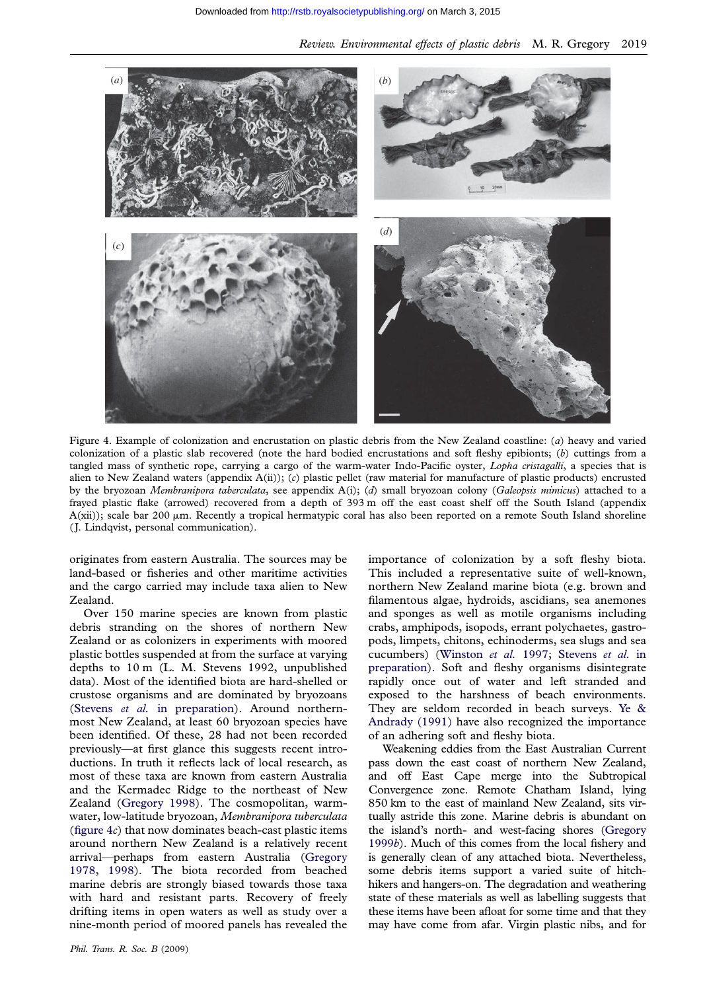<span id="page-6-0"></span>

Figure 4. Example of colonization and encrustation on plastic debris from the New Zealand coastline: (a) heavy and varied colonization of a plastic slab recovered (note the hard bodied encrustations and soft fleshy epibionts; (b) cuttings from a tangled mass of synthetic rope, carrying a cargo of the warm-water Indo-Pacific oyster, Lopha cristagalli, a species that is alien to New Zealand waters (appendix  $A(ii)$ ); (c) plastic pellet (raw material for manufacture of plastic products) encrusted by the bryozoan Membranipora taberculata, see appendix  $A(i)$ ; (d) small bryozoan colony (Galeopsis mimicus) attached to a frayed plastic flake (arrowed) recovered from a depth of 393 m off the east coast shelf off the South Island (appendix  $A(xii)$ ; scale bar 200  $\mu$ m. Recently a tropical hermatypic coral has also been reported on a remote South Island shoreline ( J. Lindqvist, personal communication).

originates from eastern Australia. The sources may be land-based or fisheries and other maritime activities and the cargo carried may include taxa alien to New Zealand.

Over 150 marine species are known from plastic debris stranding on the shores of northern New Zealand or as colonizers in experiments with moored plastic bottles suspended at from the surface at varying depths to 10 m (L. M. Stevens 1992, unpublished data). Most of the identified biota are hard-shelled or crustose organisms and are dominated by bryozoans (Stevens et al. [in preparation\)](#page-11-0). Around northernmost New Zealand, at least 60 bryozoan species have been identified. Of these, 28 had not been recorded previously—at first glance this suggests recent introductions. In truth it reflects lack of local research, as most of these taxa are known from eastern Australia and the Kermadec Ridge to the northeast of New Zealand [\(Gregory 1998\)](#page-10-0). The cosmopolitan, warmwater, low-latitude bryozoan, Membranipora tuberculata (figure 4c) that now dominates beach-cast plastic items around northern New Zealand is a relatively recent arrival—perhaps from eastern Australia [\(Gregory](#page-10-0) [1978](#page-10-0), [1998](#page-10-0)). The biota recorded from beached marine debris are strongly biased towards those taxa with hard and resistant parts. Recovery of freely drifting items in open waters as well as study over a nine-month period of moored panels has revealed the

importance of colonization by a soft fleshy biota. This included a representative suite of well-known, northern New Zealand marine biota (e.g. brown and filamentous algae, hydroids, ascidians, sea anemones and sponges as well as motile organisms including crabs, amphipods, isopods, errant polychaetes, gastropods, limpets, chitons, echinoderms, sea slugs and sea cucumbers) ([Winston](#page-12-0) et al. 1997; [Stevens](#page-11-0) et al. in [preparation\)](#page-11-0). Soft and fleshy organisms disintegrate rapidly once out of water and left stranded and exposed to the harshness of beach environments. They are seldom recorded in beach surveys. [Ye &](#page-12-0) [Andrady \(1991\)](#page-12-0) have also recognized the importance of an adhering soft and fleshy biota.

Weakening eddies from the East Australian Current pass down the east coast of northern New Zealand, and off East Cape merge into the Subtropical Convergence zone. Remote Chatham Island, lying 850 km to the east of mainland New Zealand, sits virtually astride this zone. Marine debris is abundant on the island's north- and west-facing shores [\(Gregory](#page-10-0) [1999](#page-10-0)b). Much of this comes from the local fishery and is generally clean of any attached biota. Nevertheless, some debris items support a varied suite of hitchhikers and hangers-on. The degradation and weathering state of these materials as well as labelling suggests that these items have been afloat for some time and that they may have come from afar. Virgin plastic nibs, and for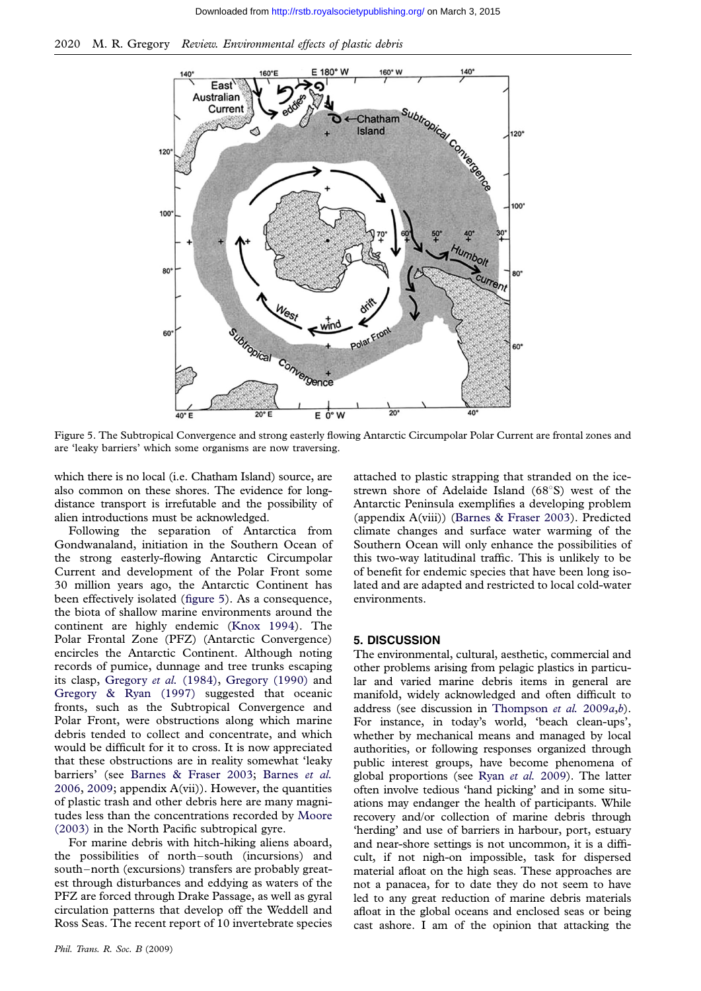2020 M. R. Gregory Review. Environmental effects of plastic debris



Figure 5. The Subtropical Convergence and strong easterly flowing Antarctic Circumpolar Polar Current are frontal zones and are 'leaky barriers' which some organisms are now traversing.

which there is no local (i.e. Chatham Island) source, are also common on these shores. The evidence for longdistance transport is irrefutable and the possibility of alien introductions must be acknowledged.

Following the separation of Antarctica from Gondwanaland, initiation in the Southern Ocean of the strong easterly-flowing Antarctic Circumpolar Current and development of the Polar Front some 30 million years ago, the Antarctic Continent has been effectively isolated (figure 5). As a consequence, the biota of shallow marine environments around the continent are highly endemic ([Knox 1994](#page-10-0)). The Polar Frontal Zone (PFZ) (Antarctic Convergence) encircles the Antarctic Continent. Although noting records of pumice, dunnage and tree trunks escaping its clasp, [Gregory](#page-10-0) et al. (1984), [Gregory \(1990\)](#page-10-0) and [Gregory & Ryan \(1997\)](#page-10-0) suggested that oceanic fronts, such as the Subtropical Convergence and Polar Front, were obstructions along which marine debris tended to collect and concentrate, and which would be difficult for it to cross. It is now appreciated that these obstructions are in reality somewhat 'leaky barriers' (see [Barnes & Fraser 2003;](#page-9-0) [Barnes](#page-9-0) et al.  $2006$ ,  $2009$ ; appendix  $A(vii)$ ). However, the quantities of plastic trash and other debris here are many magnitudes less than the concentrations recorded by [Moore](#page-11-0) [\(2003\)](#page-11-0) in the North Pacific subtropical gyre.

For marine debris with hitch-hiking aliens aboard, the possibilities of north-south (incursions) and south –north (excursions) transfers are probably greatest through disturbances and eddying as waters of the PFZ are forced through Drake Passage, as well as gyral circulation patterns that develop off the Weddell and Ross Seas. The recent report of 10 invertebrate species attached to plastic strapping that stranded on the icestrewn shore of Adelaide Island  $(68°S)$  west of the Antarctic Peninsula exemplifies a developing problem (appendix A(viii)) ([Barnes & Fraser 2003](#page-9-0)). Predicted climate changes and surface water warming of the Southern Ocean will only enhance the possibilities of this two-way latitudinal traffic. This is unlikely to be of benefit for endemic species that have been long isolated and are adapted and restricted to local cold-water environments.

#### 5. DISCUSSION

The environmental, cultural, aesthetic, commercial and other problems arising from pelagic plastics in particular and varied marine debris items in general are manifold, widely acknowledged and often difficult to address (see discussion in [Thompson](#page-11-0) et al. 2009a,[b](#page-11-0)). For instance, in today's world, 'beach clean-ups', whether by mechanical means and managed by local authorities, or following responses organized through public interest groups, have become phenomena of global proportions (see [Ryan](#page-11-0) et al. 2009). The latter often involve tedious 'hand picking' and in some situations may endanger the health of participants. While recovery and/or collection of marine debris through 'herding' and use of barriers in harbour, port, estuary and near-shore settings is not uncommon, it is a difficult, if not nigh-on impossible, task for dispersed material afloat on the high seas. These approaches are not a panacea, for to date they do not seem to have led to any great reduction of marine debris materials afloat in the global oceans and enclosed seas or being cast ashore. I am of the opinion that attacking the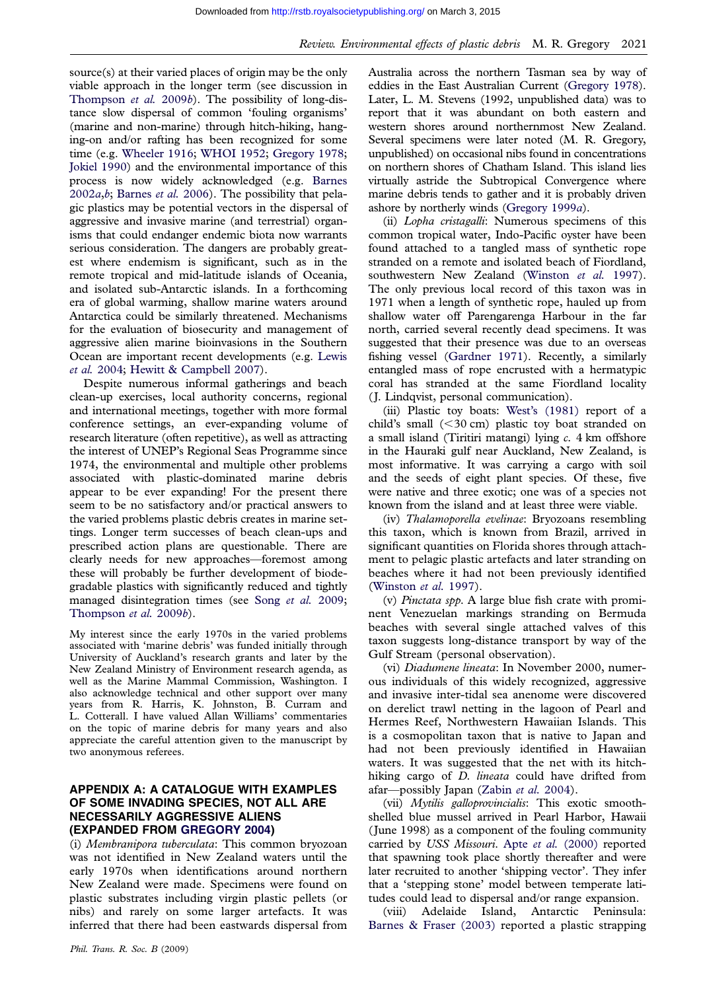source(s) at their varied places of origin may be the only viable approach in the longer term (see discussion in [Thompson](#page-11-0) et al. 2009b). The possibility of long-distance slow dispersal of common 'fouling organisms' (marine and non-marine) through hitch-hiking, hanging-on and/or rafting has been recognized for some time (e.g. [Wheeler 1916](#page-12-0); [WHOI 1952;](#page-12-0) [Gregory 1978](#page-10-0); [Jokiel 1990\)](#page-10-0) and the environmental importance of this process is now widely acknowledged (e.g. [Barnes](#page-9-0)  $2002a,b$  $2002a,b$  $2002a,b$ ; [Barnes](#page-9-0) *et al.* 2006). The possibility that pelagic plastics may be potential vectors in the dispersal of aggressive and invasive marine (and terrestrial) organisms that could endanger endemic biota now warrants serious consideration. The dangers are probably greatest where endemism is significant, such as in the remote tropical and mid-latitude islands of Oceania, and isolated sub-Antarctic islands. In a forthcoming era of global warming, shallow marine waters around Antarctica could be similarly threatened. Mechanisms for the evaluation of biosecurity and management of aggressive alien marine bioinvasions in the Southern Ocean are important recent developments (e.g. [Lewis](#page-11-0) et al. [2004](#page-11-0); [Hewitt & Campbell 2007\)](#page-10-0).

Despite numerous informal gatherings and beach clean-up exercises, local authority concerns, regional and international meetings, together with more formal conference settings, an ever-expanding volume of research literature (often repetitive), as well as attracting the interest of UNEP's Regional Seas Programme since 1974, the environmental and multiple other problems associated with plastic-dominated marine debris appear to be ever expanding! For the present there seem to be no satisfactory and/or practical answers to the varied problems plastic debris creates in marine settings. Longer term successes of beach clean-ups and prescribed action plans are questionable. There are clearly needs for new approaches—foremost among these will probably be further development of biodegradable plastics with significantly reduced and tightly managed disintegration times (see Song [et al.](#page-11-0) 2009; [Thompson](#page-11-0) et al. 2009b).

My interest since the early 1970s in the varied problems associated with 'marine debris' was funded initially through University of Auckland's research grants and later by the New Zealand Ministry of Environment research agenda, as well as the Marine Mammal Commission, Washington. I also acknowledge technical and other support over many years from R. Harris, K. Johnston, B. Curram and L. Cotterall. I have valued Allan Williams' commentaries on the topic of marine debris for many years and also appreciate the careful attention given to the manuscript by two anonymous referees.

## APPENDIX A: A CATALOGUE WITH EXAMPLES OF SOME INVADING SPECIES, NOT ALL ARE NECESSARILY AGGRESSIVE ALIENS (EXPANDED FROM [GREGORY 2004](#page-10-0))

(i) Membranipora tuberculata: This common bryozoan was not identified in New Zealand waters until the early 1970s when identifications around northern New Zealand were made. Specimens were found on plastic substrates including virgin plastic pellets (or nibs) and rarely on some larger artefacts. It was inferred that there had been eastwards dispersal from Australia across the northern Tasman sea by way of eddies in the East Australian Current [\(Gregory 1978](#page-10-0)). Later, L. M. Stevens (1992, unpublished data) was to report that it was abundant on both eastern and western shores around northernmost New Zealand. Several specimens were later noted (M. R. Gregory, unpublished) on occasional nibs found in concentrations on northern shores of Chatham Island. This island lies virtually astride the Subtropical Convergence where marine debris tends to gather and it is probably driven ashore by northerly winds [\(Gregory 1999](#page-10-0)a).

(ii) Lopha cristagalli: Numerous specimens of this common tropical water, Indo-Pacific oyster have been found attached to a tangled mass of synthetic rope stranded on a remote and isolated beach of Fiordland, southwestern New Zealand ([Winston](#page-12-0) et al. 1997). The only previous local record of this taxon was in 1971 when a length of synthetic rope, hauled up from shallow water off Parengarenga Harbour in the far north, carried several recently dead specimens. It was suggested that their presence was due to an overseas fishing vessel ([Gardner 1971\)](#page-10-0). Recently, a similarly entangled mass of rope encrusted with a hermatypic coral has stranded at the same Fiordland locality ( J. Lindqvist, personal communication).

(iii) Plastic toy boats: [West's \(1981\)](#page-12-0) report of a child's small  $( $30 \text{ cm}$ ) plastic toy boat stranded on$ a small island (Tiritiri matangi) lying  $c$ . 4 km offshore in the Hauraki gulf near Auckland, New Zealand, is most informative. It was carrying a cargo with soil and the seeds of eight plant species. Of these, five were native and three exotic; one was of a species not known from the island and at least three were viable.

(iv) Thalamoporella evelinae: Bryozoans resembling this taxon, which is known from Brazil, arrived in significant quantities on Florida shores through attachment to pelagic plastic artefacts and later stranding on beaches where it had not been previously identified ([Winston](#page-12-0) et al. 1997).

(v) Pinctata spp. A large blue fish crate with prominent Venezuelan markings stranding on Bermuda beaches with several single attached valves of this taxon suggests long-distance transport by way of the Gulf Stream (personal observation).

(vi) Diadumene lineata: In November 2000, numerous individuals of this widely recognized, aggressive and invasive inter-tidal sea anenome were discovered on derelict trawl netting in the lagoon of Pearl and Hermes Reef, Northwestern Hawaiian Islands. This is a cosmopolitan taxon that is native to Japan and had not been previously identified in Hawaiian waters. It was suggested that the net with its hitchhiking cargo of *D. lineata* could have drifted from afar—possibly Japan [\(Zabin](#page-12-0) et al. 2004).

(vii) Mytilis galloprovincialis: This exotic smoothshelled blue mussel arrived in Pearl Harbor, Hawaii ( June 1998) as a component of the fouling community carried by USS Missouri. Apte et al. [\(2000\)](#page-9-0) reported that spawning took place shortly thereafter and were later recruited to another 'shipping vector'. They infer that a 'stepping stone' model between temperate latitudes could lead to dispersal and/or range expansion.

(viii) Adelaide Island, Antarctic Peninsula: [Barnes & Fraser \(2003\)](#page-9-0) reported a plastic strapping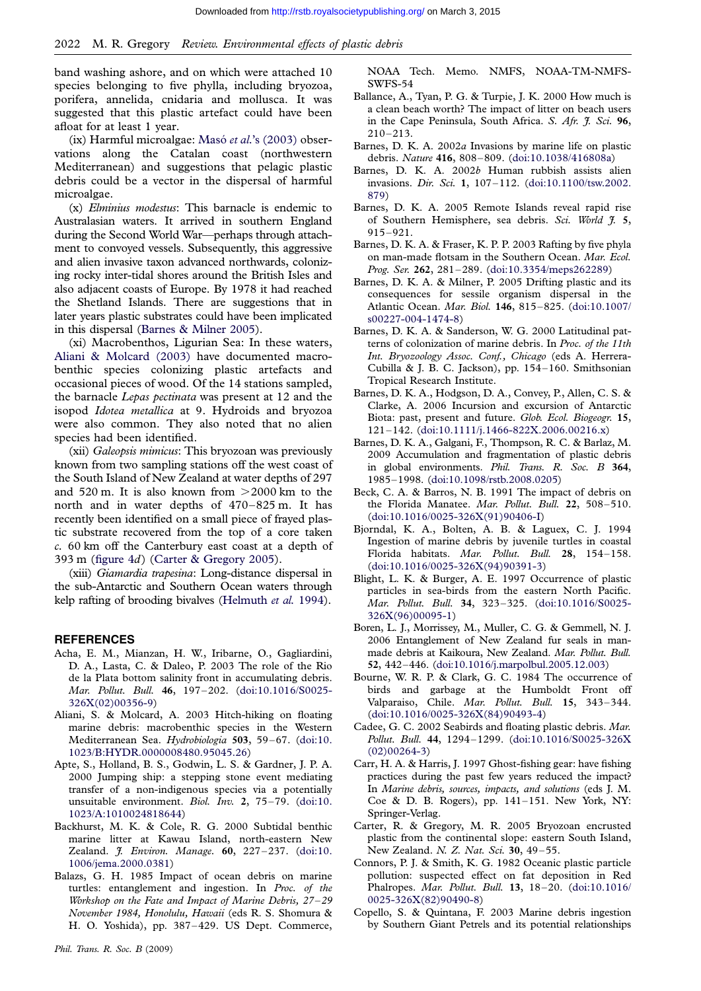<span id="page-9-0"></span>band washing ashore, and on which were attached 10 species belonging to five phylla, including bryozoa, porifera, annelida, cnidaria and mollusca. It was suggested that this plastic artefact could have been afloat for at least 1 year.

(ix) Harmful microalgae: Masó et al.['s \(2003\)](#page-11-0) observations along the Catalan coast (northwestern Mediterranean) and suggestions that pelagic plastic debris could be a vector in the dispersal of harmful microalgae.

(x) Elminius modestus: This barnacle is endemic to Australasian waters. It arrived in southern England during the Second World War—perhaps through attachment to convoyed vessels. Subsequently, this aggressive and alien invasive taxon advanced northwards, colonizing rocky inter-tidal shores around the British Isles and also adjacent coasts of Europe. By 1978 it had reached the Shetland Islands. There are suggestions that in later years plastic substrates could have been implicated in this dispersal (Barnes & Milner 2005).

(xi) Macrobenthos, Ligurian Sea: In these waters, Aliani & Molcard (2003) have documented macrobenthic species colonizing plastic artefacts and occasional pieces of wood. Of the 14 stations sampled, the barnacle Lepas pectinata was present at 12 and the isopod Idotea metallica at 9. Hydroids and bryozoa were also common. They also noted that no alien species had been identified.

(xii) Galeopsis mimicus: This bryozoan was previously known from two sampling stations off the west coast of the South Island of New Zealand at water depths of 297 and 520 m. It is also known from  $>$  2000 km to the north and in water depths of 470–825 m. It has recently been identified on a small piece of frayed plastic substrate recovered from the top of a core taken c. 60 km off the Canterbury east coast at a depth of 393 m ([figure 4](#page-6-0)d) (Carter & Gregory 2005).

(xiii) Giamardia trapesina: Long-distance dispersal in the sub-Antarctic and Southern Ocean waters through kelp rafting of brooding bivalves [\(Helmuth](#page-10-0) et al. 1994).

#### **REFERENCES**

- Acha, E. M., Mianzan, H. W., Iribarne, O., Gagliardini, D. A., Lasta, C. & Daleo, P. 2003 The role of the Rio de la Plata bottom salinity front in accumulating debris. Mar. Pollut. Bull. 46, 197–202. ([doi:10.1016/S0025-](http://dx.doi.org/doi:10.1016/S0025-326X(02)00356-9) [326X\(02\)00356-9](http://dx.doi.org/doi:10.1016/S0025-326X(02)00356-9))
- Aliani, S. & Molcard, A. 2003 Hitch-hiking on floating marine debris: macrobenthic species in the Western Mediterranean Sea. Hydrobiologia 503, 59–67. ([doi:10.](http://dx.doi.org/doi:10.1023/B:HYDR.0000008480.95045.26) [1023/B:HYDR.0000008480.95045.26\)](http://dx.doi.org/doi:10.1023/B:HYDR.0000008480.95045.26)
- Apte, S., Holland, B. S., Godwin, L. S. & Gardner, J. P. A. 2000 Jumping ship: a stepping stone event mediating transfer of a non-indigenous species via a potentially unsuitable environment. Biol. Inv. 2, 75–79. ([doi:10.](http://dx.doi.org/doi:10.1023/A:1010024818644) [1023/A:1010024818644](http://dx.doi.org/doi:10.1023/A:1010024818644))
- Backhurst, M. K. & Cole, R. G. 2000 Subtidal benthic marine litter at Kawau Island, north-eastern New Zealand. *J. Environ. Manage.* 60, 227-237. ([doi:10.](http://dx.doi.org/doi:10.1006/jema.2000.0381) [1006/jema.2000.0381](http://dx.doi.org/doi:10.1006/jema.2000.0381))
- Balazs, G. H. 1985 Impact of ocean debris on marine turtles: entanglement and ingestion. In Proc. of the Workshop on the Fate and Impact of Marine Debris, 27–29 November 1984, Honolulu, Hawaii (eds R. S. Shomura & H. O. Yoshida), pp. 387–429. US Dept. Commerce,
- Ballance, A., Tyan, P. G. & Turpie, J. K. 2000 How much is a clean beach worth? The impact of litter on beach users in the Cape Peninsula, South Africa. S. Afr. J. Sci. 96,  $210 - 213$ .
- Barnes, D. K. A. 2002a Invasions by marine life on plastic debris. Nature 416, 808 –809. [\(doi:10.1038/416808a](http://dx.doi.org/doi:10.1038/416808a))
- Barnes, D. K. A. 2002b Human rubbish assists alien invasions. Dir. Sci. 1, 107 –112. [\(doi:10.1100/tsw.2002.](http://dx.doi.org/doi:10.1100/tsw.2002.879) [879](http://dx.doi.org/doi:10.1100/tsw.2002.879))
- Barnes, D. K. A. 2005 Remote Islands reveal rapid rise of Southern Hemisphere, sea debris. Sci. World 7. 5,  $915 - 921.$
- Barnes, D. K. A. & Fraser, K. P. P. 2003 Rafting by five phyla on man-made flotsam in the Southern Ocean. Mar. Ecol. Prog. Ser. 262, 281-289. [\(doi:10.3354/meps262289\)](http://dx.doi.org/doi:10.3354/meps262289)
- Barnes, D. K. A. & Milner, P. 2005 Drifting plastic and its consequences for sessile organism dispersal in the Atlantic Ocean. Mar. Biol. 146, 815 –825. [\(doi:10.1007/](http://dx.doi.org/doi:10.1007/s00227-004-1474-8) [s00227-004-1474-8](http://dx.doi.org/doi:10.1007/s00227-004-1474-8))
- Barnes, D. K. A. & Sanderson, W. G. 2000 Latitudinal patterns of colonization of marine debris. In Proc. of the 11th Int. Bryozoology Assoc. Conf., Chicago (eds A. Herrera-Cubilla & J. B. C. Jackson), pp. 154–160. Smithsonian Tropical Research Institute.
- Barnes, D. K. A., Hodgson, D. A., Convey, P., Allen, C. S. & Clarke, A. 2006 Incursion and excursion of Antarctic Biota: past, present and future. Glob. Ecol. Biogeogr. 15, 121–142. [\(doi:10.1111/j.1466-822X.2006.00216.x\)](http://dx.doi.org/doi:10.1111/j.1466-822X.2006.00216.x)
- Barnes, D. K. A., Galgani, F., Thompson, R. C. & Barlaz, M. 2009 Accumulation and fragmentation of plastic debris in global environments. Phil. Trans. R. Soc. B 364, 1985–1998. [\(doi:10.1098/rstb.2008.0205\)](http://dx.doi.org/doi:10.1098/rstb.2008.0205)
- Beck, C. A. & Barros, N. B. 1991 The impact of debris on the Florida Manatee. Mar. Pollut. Bull. 22, 508–510. ([doi:10.1016/0025-326X\(91\)90406-I](http://dx.doi.org/doi:10.1016/0025-326X(91)90406-I))
- Bjorndal, K. A., Bolten, A. B. & Laguex, C. J. 1994 Ingestion of marine debris by juvenile turtles in coastal Florida habitats. Mar. Pollut. Bull. 28, 154–158. ([doi:10.1016/0025-326X\(94\)90391-3\)](http://dx.doi.org/doi:10.1016/0025-326X(94)90391-3)
- Blight, L. K. & Burger, A. E. 1997 Occurrence of plastic particles in sea-birds from the eastern North Pacific. Mar. Pollut. Bull. 34, 323-325. ([doi:10.1016/S0025-](http://dx.doi.org/doi:10.1016/S0025-326X(96)00095-1) [326X\(96\)00095-1](http://dx.doi.org/doi:10.1016/S0025-326X(96)00095-1))
- Boren, L. J., Morrissey, M., Muller, C. G. & Gemmell, N. J. 2006 Entanglement of New Zealand fur seals in manmade debris at Kaikoura, New Zealand. Mar. Pollut. Bull. 52, 442–446. ([doi:10.1016/j.marpolbul.2005.12.003](http://dx.doi.org/doi:10.1016/j.marpolbul.2005.12.003))
- Bourne, W. R. P. & Clark, G. C. 1984 The occurrence of birds and garbage at the Humboldt Front off Valparaiso, Chile. Mar. Pollut. Bull. 15, 343–344. ([doi:10.1016/0025-326X\(84\)90493-4\)](http://dx.doi.org/doi:10.1016/0025-326X(84)90493-4)
- Cadee, G. C. 2002 Seabirds and floating plastic debris. Mar. Pollut. Bull. 44, 1294-1299. ([doi:10.1016/S0025-326X](http://dx.doi.org/doi:10.1016/S0025-326X(02)00264-3) [\(02\)00264-3](http://dx.doi.org/doi:10.1016/S0025-326X(02)00264-3))
- Carr, H. A. & Harris, J. 1997 Ghost-fishing gear: have fishing practices during the past few years reduced the impact? In Marine debris, sources, impacts, and solutions (eds J. M. Coe & D. B. Rogers), pp. 141–151. New York, NY: Springer-Verlag.
- Carter, R. & Gregory, M. R. 2005 Bryozoan encrusted plastic from the continental slope: eastern South Island, New Zealand. N. Z. Nat. Sci. 30, 49-55.
- Connors, P. J. & Smith, K. G. 1982 Oceanic plastic particle pollution: suspected effect on fat deposition in Red Phalropes. Mar. Pollut. Bull. 13, 18–20. [\(doi:10.1016/](http://dx.doi.org/doi:10.1016/0025-326X(82)90490-8) [0025-326X\(82\)90490-8](http://dx.doi.org/doi:10.1016/0025-326X(82)90490-8))
- Copello, S. & Quintana, F. 2003 Marine debris ingestion by Southern Giant Petrels and its potential relationships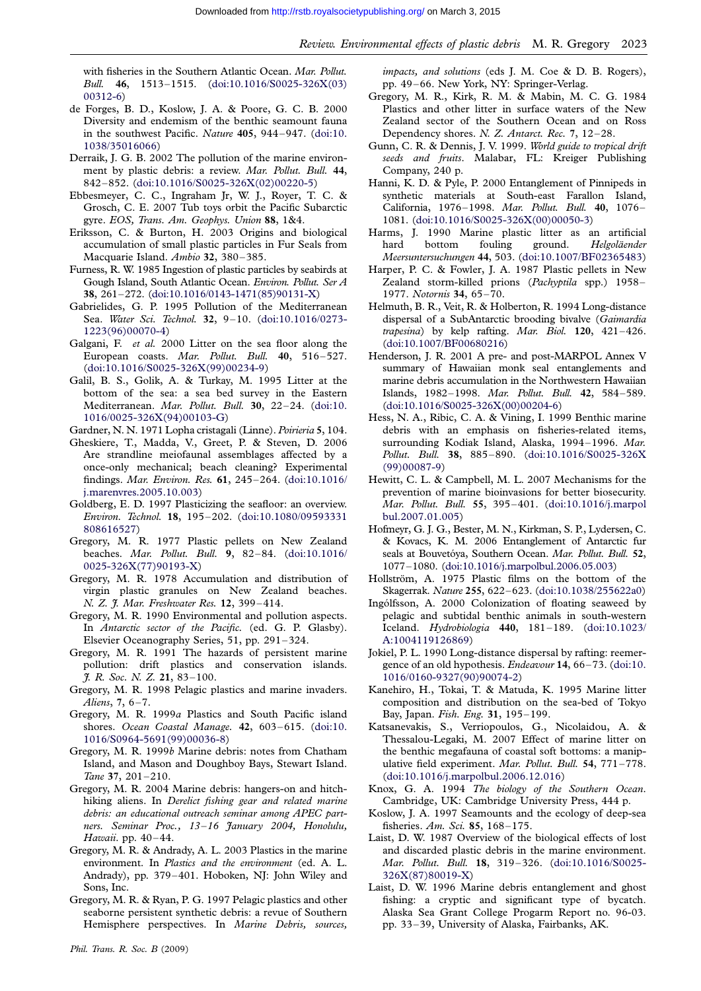<span id="page-10-0"></span>with fisheries in the Southern Atlantic Ocean. Mar. Pollut. Bull. 46, 1513–1515. [\(doi:10.1016/S0025-326X\(03\)](http://dx.doi.org/doi:10.1016/S0025-326X(03)00312-6) [00312-6](http://dx.doi.org/doi:10.1016/S0025-326X(03)00312-6))

- de Forges, B. D., Koslow, J. A. & Poore, G. C. B. 2000 Diversity and endemism of the benthic seamount fauna in the southwest Pacific. Nature 405, 944 –947. [\(doi:10.](http://dx.doi.org/doi:10.1038/35016066) [1038/35016066](http://dx.doi.org/doi:10.1038/35016066))
- Derraik, J. G. B. 2002 The pollution of the marine environment by plastic debris: a review. Mar. Pollut. Bull. 44, 842 –852. [\(doi:10.1016/S0025-326X\(02\)00220-5\)](http://dx.doi.org/doi:10.1016/S0025-326X(02)00220-5)
- Ebbesmeyer, C. C., Ingraham Jr, W. J., Royer, T. C. & Grosch, C. E. 2007 Tub toys orbit the Pacific Subarctic gyre. EOS, Trans. Am. Geophys. Union 88, 1&4.
- Eriksson, C. & Burton, H. 2003 Origins and biological accumulation of small plastic particles in Fur Seals from Macquarie Island. Ambio 32, 380-385.
- Furness, R. W. 1985 Ingestion of plastic particles by seabirds at Gough Island, South Atlantic Ocean. Environ. Pollut. Ser A 38, 261–272. [\(doi:10.1016/0143-1471\(85\)90131-X\)](http://dx.doi.org/doi:10.1016/0143-1471(85)90131-X)
- Gabrielides, G. P. 1995 Pollution of the Mediterranean Sea. Water Sci. Technol. 32, 9-10. ([doi:10.1016/0273-](http://dx.doi.org/doi:10.1016/0273-1223(96)00070-4) [1223\(96\)00070-4\)](http://dx.doi.org/doi:10.1016/0273-1223(96)00070-4)
- Galgani, F. et al. 2000 Litter on the sea floor along the European coasts. Mar. Pollut. Bull. 40, 516–527. [\(doi:10.1016/S0025-326X\(99\)00234-9\)](http://dx.doi.org/doi:10.1016/S0025-326X(99)00234-9)
- Galil, B. S., Golik, A. & Turkay, M. 1995 Litter at the bottom of the sea: a sea bed survey in the Eastern Mediterranean. Mar. Pollut. Bull. 30, 22–24. [\(doi:10.](http://dx.doi.org/doi:10.1016/0025-326X(94)00103-G) [1016/0025-326X\(94\)00103-G\)](http://dx.doi.org/doi:10.1016/0025-326X(94)00103-G)

Gardner, N. N. 1971 Lopha cristagali (Linne). Poirieria 5, 104.

- Gheskiere, T., Madda, V., Greet, P. & Steven, D. 2006 Are strandline meiofaunal assemblages affected by a once-only mechanical; beach cleaning? Experimental findings. Mar. Environ. Res. 61, 245–264. ([doi:10.1016/](http://dx.doi.org/doi:10.1016/j.marenvres.2005.10.003) [j.marenvres.2005.10.003](http://dx.doi.org/doi:10.1016/j.marenvres.2005.10.003))
- Goldberg, E. D. 1997 Plasticizing the seafloor: an overview. Environ. Technol. 18, 195 –202. [\(doi:10.1080/09593331](http://dx.doi.org/doi:10.1080/09593331808616527) [808616527\)](http://dx.doi.org/doi:10.1080/09593331808616527)
- Gregory, M. R. 1977 Plastic pellets on New Zealand beaches. Mar. Pollut. Bull. 9, 82–84. ([doi:10.1016/](http://dx.doi.org/doi:10.1016/0025-326X(77)90193-X) [0025-326X\(77\)90193-X](http://dx.doi.org/doi:10.1016/0025-326X(77)90193-X))
- Gregory, M. R. 1978 Accumulation and distribution of virgin plastic granules on New Zealand beaches. N. Z. J. Mar. Freshwater Res. 12, 399-414.
- Gregory, M. R. 1990 Environmental and pollution aspects. In Antarctic sector of the Pacific. (ed. G. P. Glasby). Elsevier Oceanography Series, 51, pp. 291–324.
- Gregory, M. R. 1991 The hazards of persistent marine pollution: drift plastics and conservation islands. J. R. Soc. N. Z. 21, 83–100.
- Gregory, M. R. 1998 Pelagic plastics and marine invaders. Aliens,  $7, 6-7$ .
- Gregory, M. R. 1999a Plastics and South Pacific island shores. Ocean Coastal Manage. 42, 603-615. [\(doi:10.](http://dx.doi.org/doi:10.1016/S0964-5691(99)00036-8) [1016/S0964-5691\(99\)00036-8\)](http://dx.doi.org/doi:10.1016/S0964-5691(99)00036-8)
- Gregory, M. R. 1999b Marine debris: notes from Chatham Island, and Mason and Doughboy Bays, Stewart Island. Tane 37, 201–210.
- Gregory, M. R. 2004 Marine debris: hangers-on and hitchhiking aliens. In Derelict fishing gear and related marine debris: an educational outreach seminar among APEC partners. Seminar Proc., 13–16 January 2004, Honolulu, Hawaii. pp. 40–44.
- Gregory, M. R. & Andrady, A. L. 2003 Plastics in the marine environment. In Plastics and the environment (ed. A. L. Andrady), pp. 379–401. Hoboken, NJ: John Wiley and Sons, Inc.
- Gregory, M. R. & Ryan, P. G. 1997 Pelagic plastics and other seaborne persistent synthetic debris: a revue of Southern Hemisphere perspectives. In Marine Debris, sources,

impacts, and solutions (eds J. M. Coe & D. B. Rogers), pp. 49–66. New York, NY: Springer-Verlag.

- Gregory, M. R., Kirk, R. M. & Mabin, M. C. G. 1984 Plastics and other litter in surface waters of the New Zealand sector of the Southern Ocean and on Ross Dependency shores. N. Z. Antarct. Rec. 7, 12-28.
- Gunn, C. R. & Dennis, J. V. 1999. World guide to tropical drift seeds and fruits. Malabar, FL: Kreiger Publishing Company, 240 p.
- Hanni, K. D. & Pyle, P. 2000 Entanglement of Pinnipeds in synthetic materials at South-east Farallon Island, California, 1976–1998. Mar. Pollut. Bull. 40, 1076– 1081. [\(doi:10.1016/S0025-326X\(00\)00050-3\)](http://dx.doi.org/doi:10.1016/S0025-326X(00)00050-3)
- Harms, J. 1990 Marine plastic litter as an artificial<br>hard bottom fouling ground. Helgoläender hard bottom fouling ground. Helgoläender Meersuntersuchungen 44, 503. ([doi:10.1007/BF02365483\)](http://dx.doi.org/doi:10.1007/BF02365483)
- Harper, P. C. & Fowler, J. A. 1987 Plastic pellets in New Zealand storm-killed prions (Pachyptila spp.) 1958-1977. Notornis 34, 65–70.
- Helmuth, B. R., Veit, R. & Holberton, R. 1994 Long-distance dispersal of a SubAntarctic brooding bivalve (Gaimardia trapesina) by kelp rafting. Mar. Biol. 120, 421-426. [\(doi:10.1007/BF00680216](http://dx.doi.org/doi:10.1007/BF00680216))
- Henderson, J. R. 2001 A pre- and post-MARPOL Annex V summary of Hawaiian monk seal entanglements and marine debris accumulation in the Northwestern Hawaiian Islands, 1982–1998. Mar. Pollut. Bull. 42, 584–589. [\(doi:10.1016/S0025-326X\(00\)00204-6](http://dx.doi.org/doi:10.1016/S0025-326X(00)00204-6))
- Hess, N. A., Ribic, C. A. & Vining, I. 1999 Benthic marine debris with an emphasis on fisheries-related items, surrounding Kodiak Island, Alaska, 1994–1996. Mar. Pollut. Bull. 38, 885 –890. ([doi:10.1016/S0025-326X](http://dx.doi.org/doi:10.1016/S0025-326X(99)00087-9) [\(99\)00087-9\)](http://dx.doi.org/doi:10.1016/S0025-326X(99)00087-9)
- Hewitt, C. L. & Campbell, M. L. 2007 Mechanisms for the prevention of marine bioinvasions for better biosecurity. Mar. Pollut. Bull. 55, 395 –401. [\(doi:10.1016/j.marpol](http://dx.doi.org/doi:10.1016/j.marpolbul.2007.01.005) [bul.2007.01.005](http://dx.doi.org/doi:10.1016/j.marpolbul.2007.01.005))
- Hofmeyr, G. J. G., Bester, M. N., Kirkman, S. P., Lydersen, C. & Kovacs, K. M. 2006 Entanglement of Antarctic fur seals at Bouvetóya, Southern Ocean. Mar. Pollut. Bull. 52, 1077–1080. [\(doi:10.1016/j.marpolbul.2006.05.003\)](http://dx.doi.org/doi:10.1016/j.marpolbul.2006.05.003)
- Hollström, A. 1975 Plastic films on the bottom of the Skagerrak. Nature 255, 622–623. [\(doi:10.1038/255622a0](http://dx.doi.org/doi:10.1038/255622a0))
- Ingólfsson, A. 2000 Colonization of floating seaweed by pelagic and subtidal benthic animals in south-western Iceland. Hydrobiologia 440, 181–189. ([doi:10.1023/](http://dx.doi.org/doi:10.1023/A:1004119126869) [A:1004119126869\)](http://dx.doi.org/doi:10.1023/A:1004119126869)
- Jokiel, P. L. 1990 Long-distance dispersal by rafting: reemergence of an old hypothesis. Endeavour 14, 66–73. [\(doi:10.](http://dx.doi.org/doi:10.1016/0160-9327(90)90074-2) [1016/0160-9327\(90\)90074-2](http://dx.doi.org/doi:10.1016/0160-9327(90)90074-2))
- Kanehiro, H., Tokai, T. & Matuda, K. 1995 Marine litter composition and distribution on the sea-bed of Tokyo Bay, Japan. Fish. Eng. 31, 195–199.
- Katsanevakis, S., Verriopoulos, G., Nicolaidou, A. & Thessalou-Legaki, M. 2007 Effect of marine litter on the benthic megafauna of coastal soft bottoms: a manipulative field experiment. Mar. Pollut. Bull. 54, 771–778. [\(doi:10.1016/j.marpolbul.2006.12.016\)](http://dx.doi.org/doi:10.1016/j.marpolbul.2006.12.016)
- Knox, G. A. 1994 The biology of the Southern Ocean. Cambridge, UK: Cambridge University Press, 444 p.
- Koslow, J. A. 1997 Seamounts and the ecology of deep-sea fisheries. Am. Sci. 85, 168–175.
- Laist, D. W. 1987 Overview of the biological effects of lost and discarded plastic debris in the marine environment. Mar. Pollut. Bull. 18, 319 –326. [\(doi:10.1016/S0025-](http://dx.doi.org/doi:10.1016/S0025-326X(87)80019-X) [326X\(87\)80019-X\)](http://dx.doi.org/doi:10.1016/S0025-326X(87)80019-X)
- Laist, D. W. 1996 Marine debris entanglement and ghost fishing: a cryptic and significant type of bycatch. Alaska Sea Grant College Progarm Report no. 96-03. pp. 33–39, University of Alaska, Fairbanks, AK.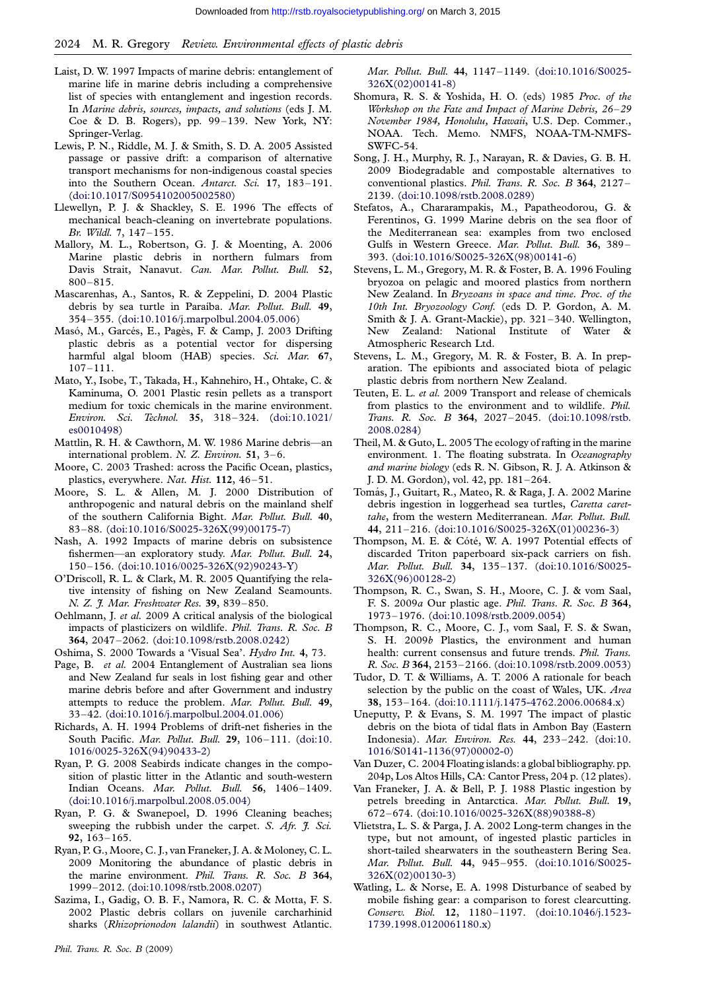<span id="page-11-0"></span>2024 M. R. Gregory Review. Environmental effects of plastic debris

- Laist, D. W. 1997 Impacts of marine debris: entanglement of marine life in marine debris including a comprehensive list of species with entanglement and ingestion records. In Marine debris, sources, impacts, and solutions (eds J. M. Coe & D. B. Rogers), pp. 99–139. New York, NY: Springer-Verlag.
- Lewis, P. N., Riddle, M. J. & Smith, S. D. A. 2005 Assisted passage or passive drift: a comparison of alternative transport mechanisms for non-indigenous coastal species into the Southern Ocean. Antarct. Sci. 17, 183-191. ([doi:10.1017/S0954102005002580\)](http://dx.doi.org/doi:10.1017/S0954102005002580)
- Llewellyn, P. J. & Shackley, S. E. 1996 The effects of mechanical beach-cleaning on invertebrate populations. Br. Wildl. 7, 147–155.
- Mallory, M. L., Robertson, G. J. & Moenting, A. 2006 Marine plastic debris in northern fulmars from Davis Strait, Nanavut. Can. Mar. Pollut. Bull. 52,  $800 - 815$
- Mascarenhas, A., Santos, R. & Zeppelini, D. 2004 Plastic debris by sea turtle in Paraíba. Mar. Pollut. Bull. 49, 354 –355. [\(doi:10.1016/j.marpolbul.2004.05.006\)](http://dx.doi.org/doi:10.1016/j.marpolbul.2004.05.006)
- Masó, M., Garcés, E., Pagès, F. & Camp, J. 2003 Drifting plastic debris as a potential vector for dispersing harmful algal bloom (HAB) species. Sci. Mar. 67,  $107 - 111$ .
- Mato, Y., Isobe, T., Takada, H., Kahnehiro, H., Ohtake, C. & Kaminuma, O. 2001 Plastic resin pellets as a transport medium for toxic chemicals in the marine environment. Environ. Sci. Technol. 35, 318–324. [\(doi:10.1021/](http://dx.doi.org/doi:10.1021/es0010498) [es0010498\)](http://dx.doi.org/doi:10.1021/es0010498)
- Mattlin, R. H. & Cawthorn, M. W. 1986 Marine debris—an international problem. N. Z. Environ. 51, 3–6.
- Moore, C. 2003 Trashed: across the Pacific Ocean, plastics, plastics, everywhere. Nat. Hist. 112, 46-51.
- Moore, S. L. & Allen, M. J. 2000 Distribution of anthropogenic and natural debris on the mainland shelf of the southern California Bight. Mar. Pollut. Bull. 40, 83–88. ([doi:10.1016/S0025-326X\(99\)00175-7\)](http://dx.doi.org/doi:10.1016/S0025-326X(99)00175-7)
- Nash, A. 1992 Impacts of marine debris on subsistence fishermen—an exploratory study. Mar. Pollut. Bull. 24, 150 –156. [\(doi:10.1016/0025-326X\(92\)90243-Y\)](http://dx.doi.org/doi:10.1016/0025-326X(92)90243-Y)
- O'Driscoll, R. L. & Clark, M. R. 2005 Quantifying the relative intensity of fishing on New Zealand Seamounts. N. Z. J. Mar. Freshwater Res. 39, 839–850.
- Oehlmann, J. et al. 2009 A critical analysis of the biological impacts of plasticizers on wildlife. Phil. Trans. R. Soc. B 364, 2047–2062. [\(doi:10.1098/rstb.2008.0242\)](http://dx.doi.org/doi:10.1098/rstb.2008.0242)
- Oshima, S. 2000 Towards a 'Visual Sea'. Hydro Int. 4, 73.
- Page, B. et al. 2004 Entanglement of Australian sea lions and New Zealand fur seals in lost fishing gear and other marine debris before and after Government and industry attempts to reduce the problem. Mar. Pollut. Bull. 49, 33–42. ([doi:10.1016/j.marpolbul.2004.01.006\)](http://dx.doi.org/doi:10.1016/j.marpolbul.2004.01.006)
- Richards, A. H. 1994 Problems of drift-net fisheries in the South Pacific. Mar. Pollut. Bull. 29, 106-111. ([doi:10.](http://dx.doi.org/doi:10.1016/0025-326X(94)90433-2) [1016/0025-326X\(94\)90433-2\)](http://dx.doi.org/doi:10.1016/0025-326X(94)90433-2)
- Ryan, P. G. 2008 Seabirds indicate changes in the composition of plastic litter in the Atlantic and south-western Indian Oceans. Mar. Pollut. Bull. 56, 1406–1409. ([doi:10.1016/j.marpolbul.2008.05.004\)](http://dx.doi.org/doi:10.1016/j.marpolbul.2008.05.004)
- Ryan, P. G. & Swanepoel, D. 1996 Cleaning beaches; sweeping the rubbish under the carpet. S. Afr. J. Sci.  $92, 163 - 165.$
- Ryan, P. G., Moore, C. J., van Franeker, J. A. & Moloney, C. L. 2009 Monitoring the abundance of plastic debris in the marine environment. Phil. Trans. R. Soc. B 364, 1999–2012. ([doi:10.1098/rstb.2008.0207](http://dx.doi.org/doi:10.1098/rstb.2008.0207))
- Sazima, I., Gadig, O. B. F., Namora, R. C. & Motta, F. S. 2002 Plastic debris collars on juvenile carcharhinid sharks (Rhizoprionodon lalandii) in southwest Atlantic.

Mar. Pollut. Bull. 44, 1147–1149. ([doi:10.1016/S0025-](http://dx.doi.org/doi:10.1016/S0025-326X(02)00141-8) [326X\(02\)00141-8](http://dx.doi.org/doi:10.1016/S0025-326X(02)00141-8))

- Shomura, R. S. & Yoshida, H. O. (eds) 1985 Proc. of the Workshop on the Fate and Impact of Marine Debris, 26–29 November 1984, Honolulu, Hawaii, U.S. Dep. Commer., NOAA. Tech. Memo. NMFS, NOAA-TM-NMFS-SWFC-54.
- Song, J. H., Murphy, R. J., Narayan, R. & Davies, G. B. H. 2009 Biodegradable and compostable alternatives to conventional plastics. Phil. Trans. R. Soc. B 364, 2127– 2139. [\(doi:10.1098/rstb.2008.0289\)](http://dx.doi.org/doi:10.1098/rstb.2008.0289)
- Stefatos, A., Chararampakis, M., Papatheodorou, G. & Ferentinos, G. 1999 Marine debris on the sea floor of the Mediterranean sea: examples from two enclosed Gulfs in Western Greece. Mar. Pollut. Bull. 36, 389 – 393. [\(doi:10.1016/S0025-326X\(98\)00141-6\)](http://dx.doi.org/doi:10.1016/S0025-326X(98)00141-6)
- Stevens, L. M., Gregory, M. R. & Foster, B. A. 1996 Fouling bryozoa on pelagic and moored plastics from northern New Zealand. In Bryzoans in space and time. Proc. of the 10th Int. Bryozoology Conf. (eds D. P. Gordon, A. M. Smith & J. A. Grant-Mackie), pp. 321 –340. Wellington, New Zealand: National Institute of Water & Atmospheric Research Ltd.
- Stevens, L. M., Gregory, M. R. & Foster, B. A. In preparation. The epibionts and associated biota of pelagic plastic debris from northern New Zealand.
- Teuten, E. L. et al. 2009 Transport and release of chemicals from plastics to the environment and to wildlife. Phil. Trans. R. Soc. B 364, 2027–2045. ([doi:10.1098/rstb.](http://dx.doi.org/doi:10.1098/rstb.2008.0284) [2008.0284\)](http://dx.doi.org/doi:10.1098/rstb.2008.0284)
- Theil, M. & Guto, L. 2005 The ecology of rafting in the marine environment. 1. The floating substrata. In Oceanography and marine biology (eds R. N. Gibson, R. J. A. Atkinson & J. D. M. Gordon), vol. 42, pp. 181–264.
- Tomás, J., Guitart, R., Mateo, R. & Raga, J. A. 2002 Marine debris ingestion in loggerhead sea turtles, Caretta carettahe, from the western Mediterranean. Mar. Pollut. Bull. 44, 211–216. [\(doi:10.1016/S0025-326X\(01\)00236-3\)](http://dx.doi.org/doi:10.1016/S0025-326X(01)00236-3)
- Thompson, M. E. & Cóté, W. A. 1997 Potential effects of discarded Triton paperboard six-pack carriers on fish. Mar. Pollut. Bull. 34, 135-137. ([doi:10.1016/S0025-](http://dx.doi.org/doi:10.1016/S0025-326X(96)00128-2) [326X\(96\)00128-2](http://dx.doi.org/doi:10.1016/S0025-326X(96)00128-2))
- Thompson, R. C., Swan, S. H., Moore, C. J. & vom Saal, F. S. 2009a Our plastic age. Phil. Trans. R. Soc. B 364, 1973–1976. [\(doi:10.1098/rstb.2009.0054](http://dx.doi.org/doi:10.1098/rstb.2009.0054))
- Thompson, R. C., Moore, C. J., vom Saal, F. S. & Swan, S. H. 2009b Plastics, the environment and human health: current consensus and future trends. Phil. Trans. R. Soc. B 364, 2153–2166. [\(doi:10.1098/rstb.2009.0053\)](http://dx.doi.org/doi:10.1098/rstb.2009.0053)
- Tudor, D. T. & Williams, A. T. 2006 A rationale for beach selection by the public on the coast of Wales, UK. Area 38, 153–164. [\(doi:10.1111/j.1475-4762.2006.00684.x](http://dx.doi.org/doi:10.1111/j.1475-4762.2006.00684.x))
- Uneputty, P. & Evans, S. M. 1997 The impact of plastic debris on the biota of tidal flats in Ambon Bay (Eastern Indonesia). Mar. Environ. Res. 44, 233 –242. ([doi:10.](http://dx.doi.org/doi:10.1016/S0141-1136(97)00002-0) [1016/S0141-1136\(97\)00002-0\)](http://dx.doi.org/doi:10.1016/S0141-1136(97)00002-0)
- Van Duzer, C. 2004 Floating islands: a global bibliography. pp. 204p, Los Altos Hills, CA: Cantor Press, 204 p. (12 plates).
- Van Franeker, J. A. & Bell, P. J. 1988 Plastic ingestion by petrels breeding in Antarctica. Mar. Pollut. Bull. 19, 672 –674. [\(doi:10.1016/0025-326X\(88\)90388-8](http://dx.doi.org/doi:10.1016/0025-326X(88)90388-8))
- Vlietstra, L. S. & Parga, J. A. 2002 Long-term changes in the type, but not amount, of ingested plastic particles in short-tailed shearwaters in the southeastern Bering Sea. Mar. Pollut. Bull. 44, 945 –955. ([doi:10.1016/S0025-](http://dx.doi.org/doi:10.1016/S0025-326X(02)00130-3) [326X\(02\)00130-3](http://dx.doi.org/doi:10.1016/S0025-326X(02)00130-3))
- Watling, L. & Norse, E. A. 1998 Disturbance of seabed by mobile fishing gear: a comparison to forest clearcutting. Conserv. Biol. 12, 1180–1197. [\(doi:10.1046/j.1523-](http://dx.doi.org/doi:10.1046/j.1523-1739.1998.0120061180.x) [1739.1998.0120061180.x](http://dx.doi.org/doi:10.1046/j.1523-1739.1998.0120061180.x))